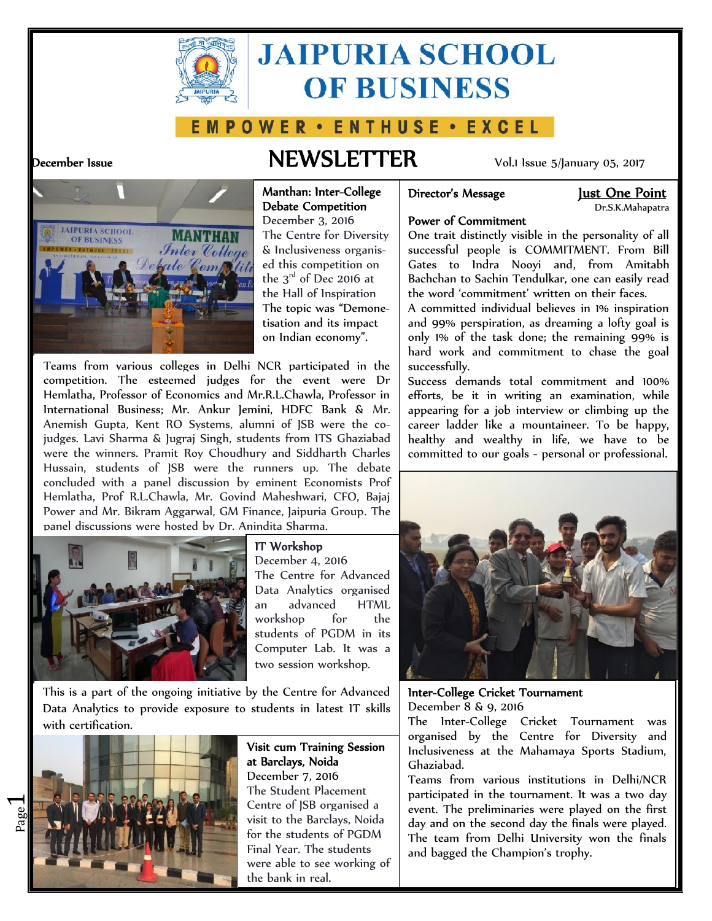

# **JAIPURIA SCHOOL OF BUSINESS**

## E M P O W E R · E N T H U S E · E X C E L

## **December Issue NEWSLETTER** Vol.1 Issue 5/January 05, 2017



### **Manthan: Inter-College Debate Competition**

December 3, 2016 The Centre for Diversity & Inclusiveness organis ed this competition on the  $3<sup>rd</sup>$  of Dec 2016 at the Hall of Inspiration The topic was "Demone tisation and its impact on Indian economy".

Teams from various colleges in Delhi NCR participated in the competition. The esteemed judges for the event were Dr Hemlatha, Professor of Economics and Mr.R.L.Chawla, Professor in International Business; Mr. Ankur Jemini, HDFC Bank & Mr. Anemish Gupta, Kent RO Systems, alumni of JSB were the cojudges. Lavi Sharma & Jugraj Singh, students from ITS Ghaziabad were the winners. Pramit Roy Choudhury and Siddharth Charles Hussain, students of JSB were the runners up. The debate concluded with a panel discussion by eminent Economists Prof Hemlatha, Prof R.L.Chawla, Mr. Govind Maheshwari, CFO, Bajaj Power and Mr. Bikram Aggarwal, GM Finance, Jaipuria Group. The panel discussions were hosted by Dr. Anindita Sharma.



## **IT Workshop**

December 4, 2016 The Centre for Advanced Data Analytics organised an advanced HTML workshop for the students of PGDM in its Computer Lab. It was a two session workshop.

This is a part of the ongoing initiative by the Centre for Advanced Data Analytics to provide exposure to students in latest IT skills with certification.



 $\overline{\phantom{0}}$ 

**Visit cum Training Session at Barclays, Noida** December 7, 2016 The Student Placement Centre of JSB organised a visit to the Barclays, Noida for the students of PGDM Final Year. The students were able to see working of the bank in real.

## **Director's Message Just One Point**

Dr.S.K.Mahapatra

## **Power of Commitment**

One trait distinctly visible in the personality of all successful people is COMMITMENT. From Bill Gates to Indra Nooyi and, from Amitabh Bachchan to Sachin Tendulkar, one can easily read the word 'commitment' written on their faces.

A committed individual believes in 1% inspiration and 99% perspiration, as dreaming a lofty goal is only 1% of the task done; the remaining 99% is hard work and commitment to chase the goal successfully.

Success demands total commitment and 100% efforts, be it in writing an examination, while appearing for a job interview or climbing up the career ladder like a mountaineer. To be happy, healthy and wealthy in life, we have to be committed to our goals - personal or professional.



**Inter-College Cricket Tournament** December 8 & 9, 2016

The Inter-College Cricket Tournament was organised by the Centre for Diversity and Inclusiveness at the Mahamaya Sports Stadium, Ghaziabad.

Teams from various institutions in Delhi/NCR participated in the tournament. It was a two day event. The preliminaries were played on the first day and on the second day the finals were played. The team from Delhi University won the finals and bagged the Champion's trophy.